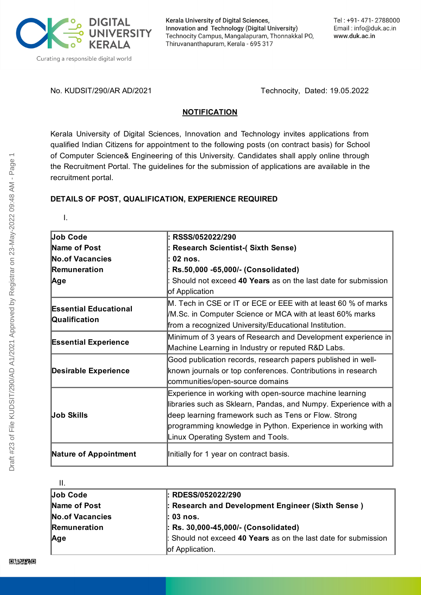

Kerala University of Digital Sciences, Innovation and Technology (Digital University) Technocity Campus, Mangalapuram, Thonnakkal PO, Thiruvananthapuram, Kerala - 695 317

No. KUDSIT/290/AR AD/2021 Technocity, Dated: 19.05.2022

#### **NOTIFICATION**

Kerala University of Digital Sciences, Innovation and Technology invites applications from qualified Indian Citizens for appointment to the following posts (on contract basis) for School of Computer Science& Engineering of this University. Candidates shall apply online through the Recruitment Portal. The guidelines for the submission of applications are available in the recruitment portal.

# **DETAILS OF POST, QUALIFICATION, EXPERIENCE REQUIRED**

I.

| <b>Job Code</b>                               | RSSS/052022/290                                                 |
|-----------------------------------------------|-----------------------------------------------------------------|
| Name of Post                                  | <b>Research Scientist-(Sixth Sense)</b>                         |
| <b>No.of Vacancies</b>                        | : 02 nos.                                                       |
| <b>Remuneration</b>                           | Rs.50,000 -65,000/- (Consolidated)                              |
| Age                                           | Should not exceed 40 Years as on the last date for submission   |
|                                               | of Application                                                  |
| <b>Essential Educational</b><br>Qualification | M. Tech in CSE or IT or ECE or EEE with at least 60 % of marks  |
|                                               | /M.Sc. in Computer Science or MCA with at least 60% marks       |
|                                               | from a recognized University/Educational Institution.           |
|                                               | Minimum of 3 years of Research and Development experience in    |
| <b>Essential Experience</b>                   | Machine Learning in Industry or reputed R&D Labs.               |
|                                               | Good publication records, research papers published in well-    |
| <b>Desirable Experience</b>                   | known journals or top conferences. Contributions in research    |
|                                               | communities/open-source domains                                 |
| Job Skills                                    | Experience in working with open-source machine learning         |
|                                               | libraries such as Sklearn, Pandas, and Numpy. Experience with a |
|                                               | deep learning framework such as Tens or Flow. Strong            |
|                                               | programming knowledge in Python. Experience in working with     |
|                                               | Linux Operating System and Tools.                               |
| <b>Nature of Appointment</b>                  | Initially for 1 year on contract basis.                         |

II.

| - 11 -                 |                                                                 |
|------------------------|-----------------------------------------------------------------|
| Job Code               | $:$ RDESS/052022/290                                            |
| Name of Post           | : Research and Development Engineer (Sixth Sense)               |
| <b>No.of Vacancies</b> | $ : 03 \text{ nos}.$                                            |
| Remuneration           | : Rs. 30,000-45,000/- (Consolidated)                            |
| Age                    | : Should not exceed 40 Years as on the last date for submission |
|                        | of Application.                                                 |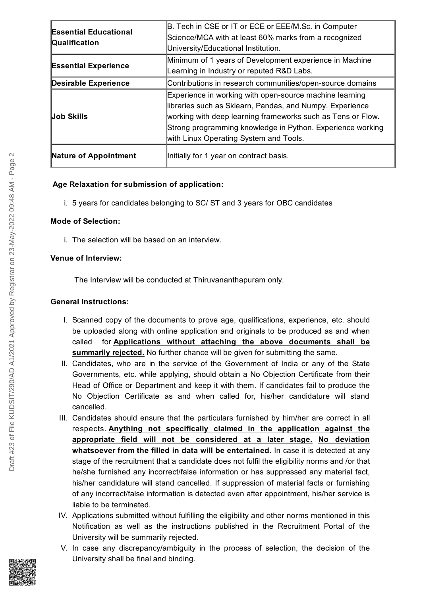| <b>Essential Educational</b><br>Qualification | B. Tech in CSE or IT or ECE or EEE/M.Sc. in Computer        |
|-----------------------------------------------|-------------------------------------------------------------|
|                                               | Science/MCA with at least 60% marks from a recognized       |
|                                               | University/Educational Institution.                         |
| <b>Essential Experience</b>                   | Minimum of 1 years of Development experience in Machine     |
|                                               | Learning in Industry or reputed R&D Labs.                   |
| <b>Desirable Experience</b>                   | Contributions in research communities/open-source domains   |
| <b>Job Skills</b>                             | Experience in working with open-source machine learning     |
|                                               | libraries such as Sklearn, Pandas, and Numpy. Experience    |
|                                               | working with deep learning frameworks such as Tens or Flow. |
|                                               | Strong programming knowledge in Python. Experience working  |
|                                               | with Linux Operating System and Tools.                      |
| Nature of Appointment                         | Initially for 1 year on contract basis.                     |

## **Age Relaxation for submission of application:**

i. 5 years for candidates belonging to SC/ ST and 3 years for OBC candidates

### **Mode of Selection:**

i. The selection will be based on an interview.

## **Venue of Interview:**

The Interview will be conducted at Thiruvananthapuram only.

## **General Instructions:**

- I. Scanned copy of the documents to prove age, qualifications, experience, etc. should be uploaded along with online application and originals to be produced as and when called for **Applications without attaching the above documents shall be summarily rejected.** No further chance will be given for submitting the same.
- II. Candidates, who are in the service of the Government of India or any of the State Governments, etc. while applying, should obtain a No Objection Certificate from their Head of Office or Department and keep it with them. If candidates fail to produce the No Objection Certificate as and when called for, his/her candidature will stand cancelled.
- III. Candidates should ensure that the particulars furnished by him/her are correct in all respects. **Anything not specifically claimed in the application against the appropriate field will not be considered at a later stage. No deviation whatsoever from the filled in data will be entertained**. In case it is detected at any stage of the recruitment that a candidate does not fulfil the eligibility norms and /or that he/she furnished any incorrect/false information or has suppressed any material fact, his/her candidature will stand cancelled. If suppression of material facts or furnishing of any incorrect/false information is detected even after appointment, his/her service is liable to be terminated.
- IV. Applications submitted without fulfilling the eligibility and other norms mentioned in this Notification as well as the instructions published in the Recruitment Portal of the University will be summarily rejected.
- V. In case any discrepancy/ambiguity in the process of selection, the decision of the University shall be final and binding.